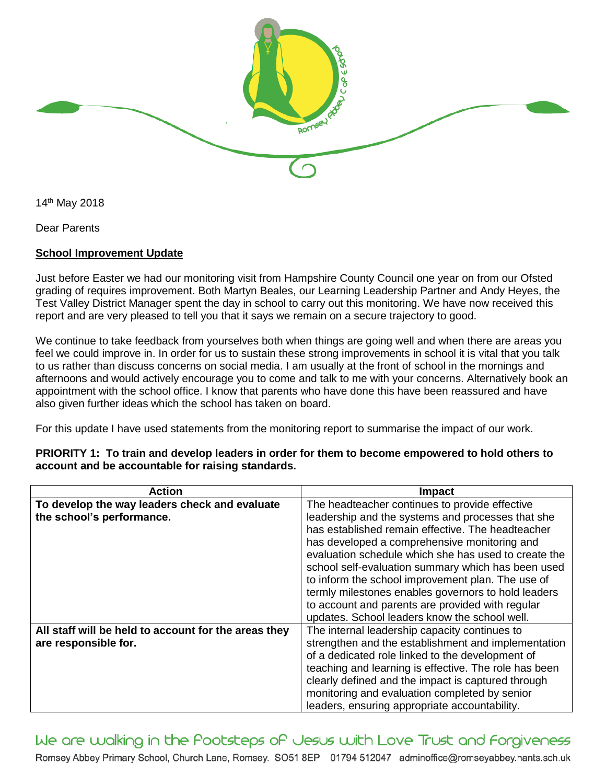

14th May 2018

Dear Parents

## **School Improvement Update**

Just before Easter we had our monitoring visit from Hampshire County Council one year on from our Ofsted grading of requires improvement. Both Martyn Beales, our Learning Leadership Partner and Andy Heyes, the Test Valley District Manager spent the day in school to carry out this monitoring. We have now received this report and are very pleased to tell you that it says we remain on a secure trajectory to good.

We continue to take feedback from yourselves both when things are going well and when there are areas you feel we could improve in. In order for us to sustain these strong improvements in school it is vital that you talk to us rather than discuss concerns on social media. I am usually at the front of school in the mornings and afternoons and would actively encourage you to come and talk to me with your concerns. Alternatively book an appointment with the school office. I know that parents who have done this have been reassured and have also given further ideas which the school has taken on board.

For this update I have used statements from the monitoring report to summarise the impact of our work.

| <b>Action</b>                                        | Impact                                                |
|------------------------------------------------------|-------------------------------------------------------|
| To develop the way leaders check and evaluate        | The headteacher continues to provide effective        |
| the school's performance.                            | leadership and the systems and processes that she     |
|                                                      | has established remain effective. The headteacher     |
|                                                      | has developed a comprehensive monitoring and          |
|                                                      | evaluation schedule which she has used to create the  |
|                                                      | school self-evaluation summary which has been used    |
|                                                      | to inform the school improvement plan. The use of     |
|                                                      | termly milestones enables governors to hold leaders   |
|                                                      | to account and parents are provided with regular      |
|                                                      | updates. School leaders know the school well.         |
| All staff will be held to account for the areas they | The internal leadership capacity continues to         |
| are responsible for.                                 | strengthen and the establishment and implementation   |
|                                                      | of a dedicated role linked to the development of      |
|                                                      | teaching and learning is effective. The role has been |
|                                                      | clearly defined and the impact is captured through    |
|                                                      | monitoring and evaluation completed by senior         |
|                                                      | leaders, ensuring appropriate accountability.         |

**PRIORITY 1: To train and develop leaders in order for them to become empowered to hold others to account and be accountable for raising standards.**

We are walking in the Pootsteps of Jesus with Love Trust and Forgiveness Romsey Abbey Primary School, Church Lane, Romsey. SO51 8EP 01794 512047 adminoffice@romseyabbey.hants.sch.uk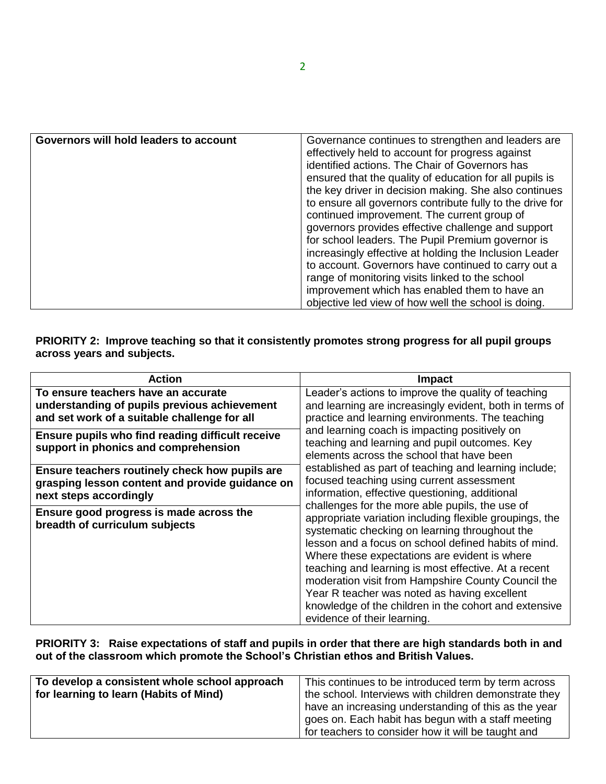| Governors will hold leaders to account | Governance continues to strengthen and leaders are        |
|----------------------------------------|-----------------------------------------------------------|
|                                        | effectively held to account for progress against          |
|                                        | identified actions. The Chair of Governors has            |
|                                        | ensured that the quality of education for all pupils is   |
|                                        | the key driver in decision making. She also continues     |
|                                        | to ensure all governors contribute fully to the drive for |
|                                        | continued improvement. The current group of               |
|                                        | governors provides effective challenge and support        |
|                                        | for school leaders. The Pupil Premium governor is         |
|                                        | increasingly effective at holding the Inclusion Leader    |
|                                        | to account. Governors have continued to carry out a       |
|                                        | range of monitoring visits linked to the school           |
|                                        | improvement which has enabled them to have an             |
|                                        | objective led view of how well the school is doing.       |
|                                        |                                                           |

**PRIORITY 2: Improve teaching so that it consistently promotes strong progress for all pupil groups across years and subjects.**

| <b>Action</b>                                                                                                                       | <b>Impact</b>                                                                                                                                                                                                                                                                                                                                                                                                                                                                                                                                                                                                                                                                                                                                                                                                                                                                                                                                                                                            |
|-------------------------------------------------------------------------------------------------------------------------------------|----------------------------------------------------------------------------------------------------------------------------------------------------------------------------------------------------------------------------------------------------------------------------------------------------------------------------------------------------------------------------------------------------------------------------------------------------------------------------------------------------------------------------------------------------------------------------------------------------------------------------------------------------------------------------------------------------------------------------------------------------------------------------------------------------------------------------------------------------------------------------------------------------------------------------------------------------------------------------------------------------------|
| To ensure teachers have an accurate<br>understanding of pupils previous achievement<br>and set work of a suitable challenge for all | Leader's actions to improve the quality of teaching<br>and learning are increasingly evident, both in terms of<br>practice and learning environments. The teaching<br>and learning coach is impacting positively on<br>teaching and learning and pupil outcomes. Key<br>elements across the school that have been<br>established as part of teaching and learning include;<br>focused teaching using current assessment<br>information, effective questioning, additional<br>challenges for the more able pupils, the use of<br>appropriate variation including flexible groupings, the<br>systematic checking on learning throughout the<br>lesson and a focus on school defined habits of mind.<br>Where these expectations are evident is where<br>teaching and learning is most effective. At a recent<br>moderation visit from Hampshire County Council the<br>Year R teacher was noted as having excellent<br>knowledge of the children in the cohort and extensive<br>evidence of their learning. |
| Ensure pupils who find reading difficult receive<br>support in phonics and comprehension                                            |                                                                                                                                                                                                                                                                                                                                                                                                                                                                                                                                                                                                                                                                                                                                                                                                                                                                                                                                                                                                          |
| Ensure teachers routinely check how pupils are<br>grasping lesson content and provide guidance on<br>next steps accordingly         |                                                                                                                                                                                                                                                                                                                                                                                                                                                                                                                                                                                                                                                                                                                                                                                                                                                                                                                                                                                                          |
| Ensure good progress is made across the<br>breadth of curriculum subjects                                                           |                                                                                                                                                                                                                                                                                                                                                                                                                                                                                                                                                                                                                                                                                                                                                                                                                                                                                                                                                                                                          |

## **PRIORITY 3: Raise expectations of staff and pupils in order that there are high standards both in and out of the classroom which promote the School's Christian ethos and British Values.**

| To develop a consistent whole school approach<br>for learning to learn (Habits of Mind) | This continues to be introduced term by term across<br>the school. Interviews with children demonstrate they                                                     |
|-----------------------------------------------------------------------------------------|------------------------------------------------------------------------------------------------------------------------------------------------------------------|
|                                                                                         | have an increasing understanding of this as the year<br>goes on. Each habit has begun with a staff meeting<br>for teachers to consider how it will be taught and |
|                                                                                         |                                                                                                                                                                  |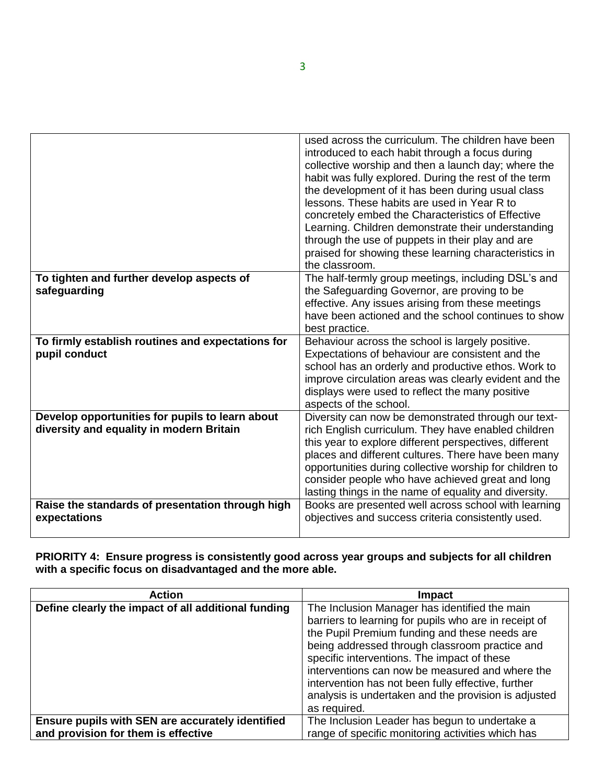|                                                                                             | used across the curriculum. The children have been<br>introduced to each habit through a focus during<br>collective worship and then a launch day; where the<br>habit was fully explored. During the rest of the term<br>the development of it has been during usual class<br>lessons. These habits are used in Year R to<br>concretely embed the Characteristics of Effective<br>Learning. Children demonstrate their understanding<br>through the use of puppets in their play and are<br>praised for showing these learning characteristics in |
|---------------------------------------------------------------------------------------------|---------------------------------------------------------------------------------------------------------------------------------------------------------------------------------------------------------------------------------------------------------------------------------------------------------------------------------------------------------------------------------------------------------------------------------------------------------------------------------------------------------------------------------------------------|
|                                                                                             | the classroom.                                                                                                                                                                                                                                                                                                                                                                                                                                                                                                                                    |
| To tighten and further develop aspects of<br>safeguarding                                   | The half-termly group meetings, including DSL's and<br>the Safeguarding Governor, are proving to be<br>effective. Any issues arising from these meetings<br>have been actioned and the school continues to show<br>best practice.                                                                                                                                                                                                                                                                                                                 |
| To firmly establish routines and expectations for<br>pupil conduct                          | Behaviour across the school is largely positive.<br>Expectations of behaviour are consistent and the<br>school has an orderly and productive ethos. Work to<br>improve circulation areas was clearly evident and the<br>displays were used to reflect the many positive<br>aspects of the school.                                                                                                                                                                                                                                                 |
| Develop opportunities for pupils to learn about<br>diversity and equality in modern Britain | Diversity can now be demonstrated through our text-<br>rich English curriculum. They have enabled children<br>this year to explore different perspectives, different<br>places and different cultures. There have been many<br>opportunities during collective worship for children to<br>consider people who have achieved great and long<br>lasting things in the name of equality and diversity.                                                                                                                                               |
| Raise the standards of presentation through high<br>expectations                            | Books are presented well across school with learning<br>objectives and success criteria consistently used.                                                                                                                                                                                                                                                                                                                                                                                                                                        |

**PRIORITY 4: Ensure progress is consistently good across year groups and subjects for all children with a specific focus on disadvantaged and the more able.**

| <b>Action</b>                                       | <b>Impact</b>                                         |
|-----------------------------------------------------|-------------------------------------------------------|
| Define clearly the impact of all additional funding | The Inclusion Manager has identified the main         |
|                                                     | barriers to learning for pupils who are in receipt of |
|                                                     | the Pupil Premium funding and these needs are         |
|                                                     | being addressed through classroom practice and        |
|                                                     | specific interventions. The impact of these           |
|                                                     | interventions can now be measured and where the       |
|                                                     | intervention has not been fully effective, further    |
|                                                     | analysis is undertaken and the provision is adjusted  |
|                                                     | as required.                                          |
| Ensure pupils with SEN are accurately identified    | The Inclusion Leader has begun to undertake a         |
| and provision for them is effective                 | range of specific monitoring activities which has     |